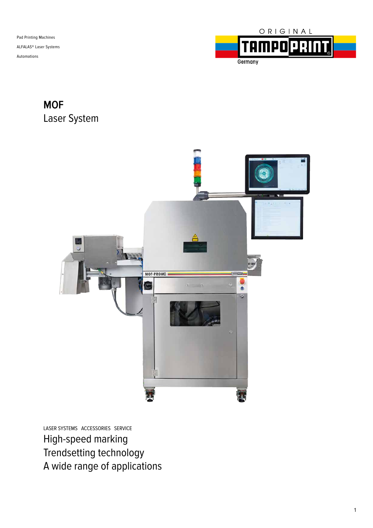

### **MOF** Laser System



LASER SYSTEMS ACCESSORIES SERVICE High-speed marking Trendsetting technology A wide range of applications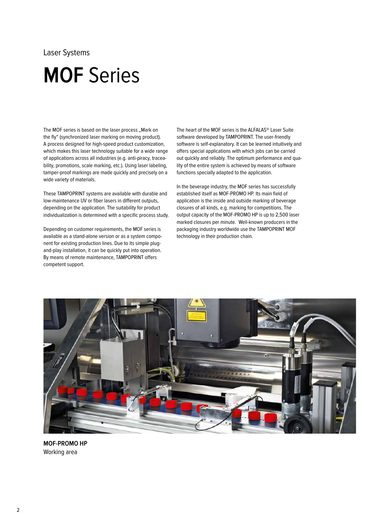# **MOF** Series

The MOF series is based on the laser process "Mark on the fly" (synchronized laser marking on moving product). A process designed for high-speed product customization, which makes this laser technology suitable for a wide range of applications across all industries (e.g. anti-piracy, traceability, promotions, scale marking, etc.). Using laser labeling, tamper-proof markings are made quickly and precisely on a wide variety of materials.

These TAMPOPRINT systems are available with durable and low-maintenance UV or fiber lasers in different outputs, depending on the application. The suitability for product individualization is determined with a specific process study.

Depending on customer requirements, the MOF series is available as a stand-alone version or as a system component for existing production lines. Due to its simple plugand-play installation, it can be quickly put into operation. By means of remote maintenance, TAMPOPRINT offers competent support.

The heart of the MOF series is the ALFALAS® Laser Suite software developed by TAMPOPRINT. The user-friendly software is self-explanatory. It can be learned intuitively and offers special applications with which jobs can be carried out quickly and reliably. The optimum performance and quality of the entire system is achieved by means of software functions specially adapted to the application.

In the beverage industry, the MOF series has successfully established itself as MOF-PROMO HP. Its main field of application is the inside and outside marking of beverage closures of all kinds, e.g. marking for competitions. The output capacity of the MOF-PROMO HP is up to 2,500 laser marked closures per minute. Well-known producers in the packaging industry worldwide use the TAMPOPRINT MOF technology in their production chain.



**MOF-PROMO HP** Working area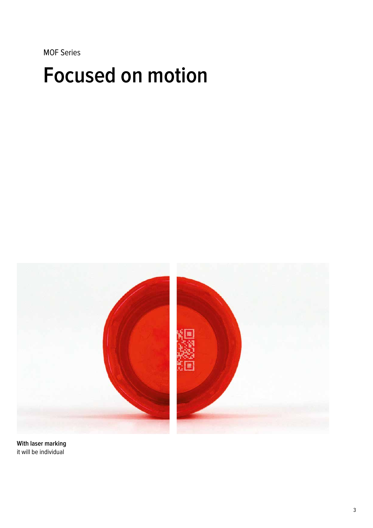MOF Series

# **Focused on motion**



**With laser marking** it will be individual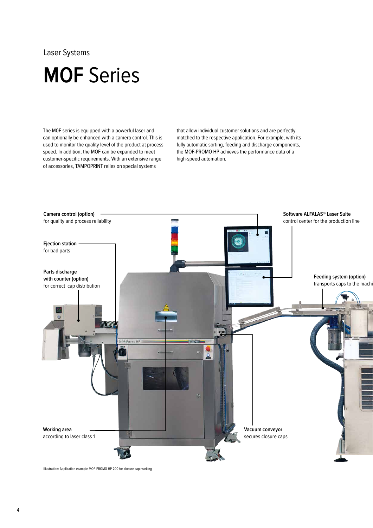### **MOF** Series

The M0F series is equipped with a powerful laser and can optionally be enhanced with a camera control. This is used to monitor the quality level of the product at process speed. In addition, the MOF can be expanded to meet customer-specific requirements. With an extensive range of accessories, TAMPOPRINT relies on special systems

that allow individual customer solutions and are perfectly matched to the respective application. For example, with its fully automatic sorting, feeding and discharge components, the MOF-PROMO HP achieves the performance data of a high-speed automation.



Illustration: Application example MOF-PROMO HP 200 for closure cap marking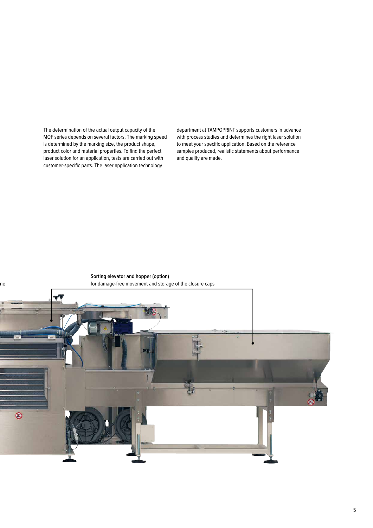The determination of the actual output capacity of the MOF series depends on several factors. The marking speed is determined by the marking size, the product shape, product color and material properties. To find the perfect laser solution for an application, tests are carried out with customer-specific parts. The laser application technology

department at TAMPOPRINT supports customers in advance with process studies and determines the right laser solution to meet your specific application. Based on the reference samples produced, realistic statements about performance and quality are made.

**Sorting elevator and hopper (option)** for damage-free movement and storage of the closure caps ne  $\circledast$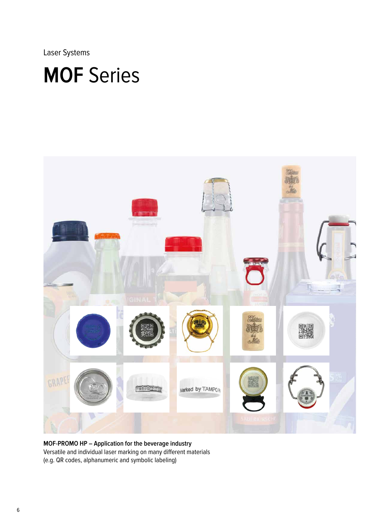# **MOF** Series



**MOF-PROMO HP – Application for the beverage industry** Versatile and individual laser marking on many different materials (e.g. QR codes, alphanumeric and symbolic labeling)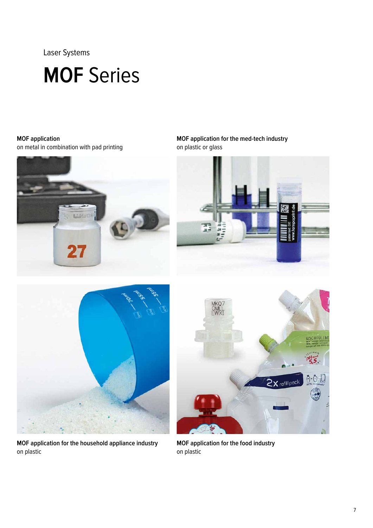# **MOF** Series

### **MOF application**

on metal in combination with pad printing



**MOF application for the med-tech industry**  on plastic or glass





**MOF application for the household appliance industry** on plastic



**MOF application for the food industry** on plastic